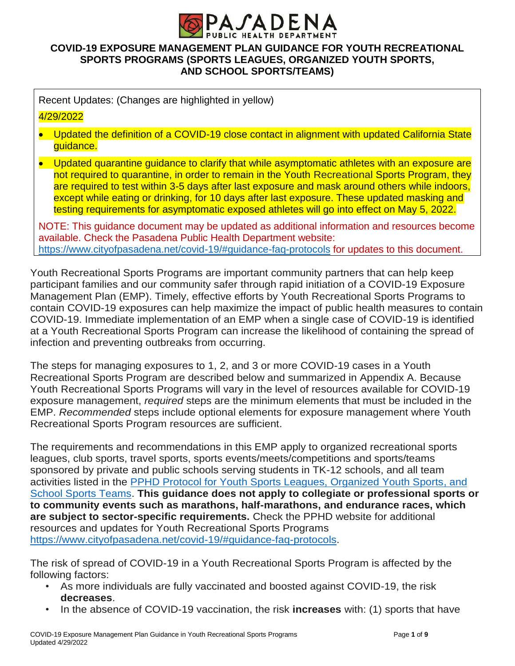

## **COVID-19 EXPOSURE MANAGEMENT PLAN GUIDANCE FOR YOUTH RECREATIONAL SPORTS PROGRAMS (SPORTS LEAGUES, ORGANIZED YOUTH SPORTS, AND SCHOOL SPORTS/TEAMS)**

Recent Updates: (Changes are highlighted in yellow)

## 4/29/2022

• Updated the definition of a COVID-19 close contact in alignment with updated California State guidance.

• Updated quarantine quidance to clarify that while asymptomatic athletes with an exposure are not required to quarantine, in order to remain in the Youth Recreational Sports Program, they are required to test within 3-5 days after last exposure and mask around others while indoors, except while eating or drinking, for 10 days after last exposure. These updated masking and testing requirements for asymptomatic exposed athletes will go into effect on May 5, 2022.

NOTE: This guidance document may be updated as additional information and resources become available. Check the Pasadena Public Health Department website: <https://www.cityofpasadena.net/covid-19/#guidance-faq-protocols> for updates to this document.

Youth Recreational Sports Programs are important community partners that can help keep participant families and our community safer through rapid initiation of a COVID-19 Exposure Management Plan (EMP). Timely, effective efforts by Youth Recreational Sports Programs to contain COVID-19 exposures can help maximize the impact of public health measures to contain COVID-19. Immediate implementation of an EMP when a single case of COVID-19 is identified at a Youth Recreational Sports Program can increase the likelihood of containing the spread of infection and preventing outbreaks from occurring.

The steps for managing exposures to 1, 2, and 3 or more COVID-19 cases in a Youth Recreational Sports Program are described below and summarized in Appendix A. Because Youth Recreational Sports Programs will vary in the level of resources available for COVID-19 exposure management, *required* steps are the minimum elements that must be included in the EMP. *Recommended* steps include optional elements for exposure management where Youth Recreational Sports Program resources are sufficient.

The requirements and recommendations in this EMP apply to organized recreational sports leagues, club sports, travel sports, sports events/meets/competitions and sports/teams sponsored by private and public schools serving students in TK-12 schools, and all team activities listed in the [PPHD Protocol for Youth Sports Leagues, Organized Youth Sports, and](https://www.cityofpasadena.net/public-health/wp-content/uploads/sites/32/Youth-Sports-Protocol.pdf?v=1651182899649)  [School Sports Teams.](https://www.cityofpasadena.net/public-health/wp-content/uploads/sites/32/Youth-Sports-Protocol.pdf?v=1651182899649) **This guidance does not apply to collegiate or professional sports or to community events such as marathons, half-marathons, and endurance races, which are subject to sector-specific requirements.** Check the PPHD website for additional resources and updates for Youth Recreational Sports Programs [https://www.cityofpasadena.net/covid-19/#guidance-faq-protocols.](https://www.cityofpasadena.net/covid-19/#guidance-faq-protocols)

The risk of spread of COVID-19 in a Youth Recreational Sports Program is affected by the following factors:

- As more individuals are fully vaccinated and boosted against COVID-19, the risk **decreases**.
- In the absence of COVID-19 vaccination, the risk **increases** with: (1) sports that have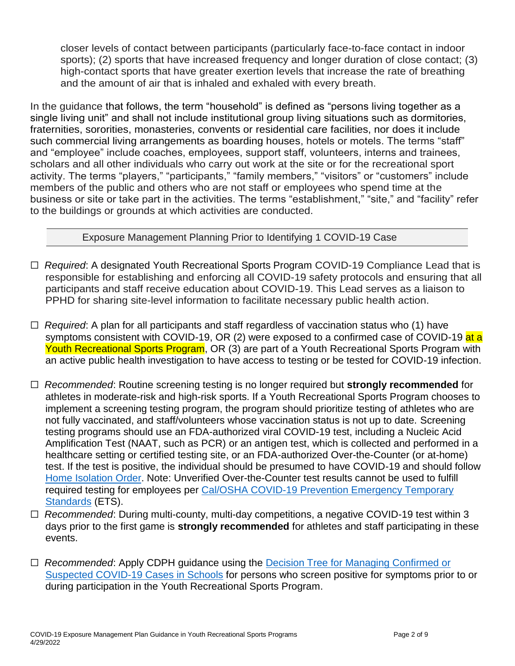closer levels of contact between participants (particularly face-to-face contact in indoor sports); (2) sports that have increased frequency and longer duration of close contact; (3) high-contact sports that have greater exertion levels that increase the rate of breathing and the amount of air that is inhaled and exhaled with every breath.

In the guidance that follows, the term "household" is defined as "persons living together as a single living unit" and shall not include institutional group living situations such as dormitories, fraternities, sororities, monasteries, convents or residential care facilities, nor does it include such commercial living arrangements as boarding houses, hotels or motels. The terms "staff" and "employee" include coaches, employees, support staff, volunteers, interns and trainees, scholars and all other individuals who carry out work at the site or for the recreational sport activity. The terms "players," "participants," "family members," "visitors" or "customers" include members of the public and others who are not staff or employees who spend time at the business or site or take part in the activities. The terms "establishment," "site," and "facility" refer to the buildings or grounds at which activities are conducted.

## Exposure Management Planning Prior to Identifying 1 COVID-19 Case

- ☐ *Required*: A designated Youth Recreational Sports Program COVID-19 Compliance Lead that is responsible for establishing and enforcing all COVID-19 safety protocols and ensuring that all participants and staff receive education about COVID-19. This Lead serves as a liaison to PPHD for sharing site-level information to facilitate necessary public health action.
- ☐ *Required*: A plan for all participants and staff regardless of vaccination status who (1) have symptoms consistent with COVID-19, OR (2) were exposed to a confirmed case of COVID-19 at a Youth Recreational Sports Program, OR (3) are part of a Youth Recreational Sports Program with an active public health investigation to have access to testing or be tested for COVID-19 infection.
- ☐ *Recommended*: Routine screening testing is no longer required but **strongly recommended** for athletes in moderate-risk and high-risk sports. If a Youth Recreational Sports Program chooses to implement a screening testing program, the program should prioritize testing of athletes who are not fully vaccinated, and staff/volunteers whose vaccination status is not up to date. Screening testing programs should use an FDA-authorized viral COVID-19 test, including a Nucleic Acid Amplification Test (NAAT, such as PCR) or an antigen test, which is collected and performed in a healthcare setting or certified testing site, or an FDA-authorized Over-the-Counter (or at-home) test. If the test is positive, the individual should be presumed to have COVID-19 and should follow [Home Isolation](https://www.cityofpasadena.net/public-health/wp-content/uploads/sites/32/Pasadena-Health-Officer-Blanket-Isolation-Order.pdf?v=1647886101316) Order. Note: Unverified Over-the-Counter test results cannot be used to fulfill required testing for employees per [Cal/OSHA COVID-19 Prevention Emergency Temporary](https://www.dir.ca.gov/dosh/dosh_publications/COVIDOnePageFS.pdf)  [Standards](https://www.dir.ca.gov/dosh/dosh_publications/COVIDOnePageFS.pdf) (ETS).
- ☐ *Recommended*: During multi-county, multi-day competitions, a negative COVID-19 test within 3 days prior to the first game is **strongly recommended** for athletes and staff participating in these events.
- ☐ *Recommended*: Apply CDPH guidance using the [Decision Tree for Managing Confirmed or](https://www.cdph.ca.gov/Programs/CID/DCDC/CDPH%20Document%20Library/COVID-19/SS4A/School_Case_Decision_Tree.pdf?v=1644859360613)  [Suspected COVID-19 Cases in Schools](https://www.cdph.ca.gov/Programs/CID/DCDC/CDPH%20Document%20Library/COVID-19/SS4A/School_Case_Decision_Tree.pdf?v=1644859360613) for persons who screen positive for symptoms prior to or during participation in the Youth Recreational Sports Program.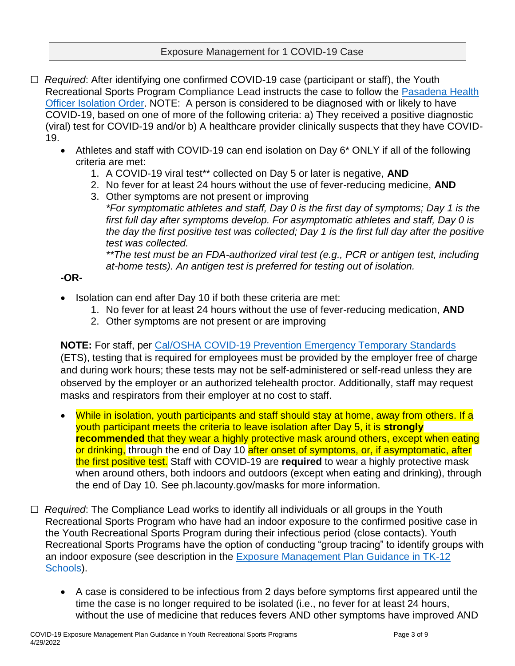- ☐ *Required*: After identifying one confirmed COVID-19 case (participant or staff), the Youth Recreational Sports Program Compliance Lead instructs the case to follow the [Pasadena Health](https://www.cityofpasadena.net/public-health/wp-content/uploads/sites/32/Pasadena-Health-Officer-Blanket-Isolation-Order.pdf)  [Officer Isolation Order.](https://www.cityofpasadena.net/public-health/wp-content/uploads/sites/32/Pasadena-Health-Officer-Blanket-Isolation-Order.pdf) NOTE: A person is considered to be diagnosed with or likely to have COVID-19, based on one of more of the following criteria: a) They received a positive diagnostic (viral) test for COVID-19 and/or b) A healthcare provider clinically suspects that they have COVID-19.
	- Athletes and staff with COVID-19 can end isolation on Day 6\* ONLY if all of the following criteria are met:
		- 1. A COVID-19 viral test\*\* collected on Day 5 or later is negative, **AND**
		- 2. No fever for at least 24 hours without the use of fever-reducing medicine, **AND**
		- 3. Other symptoms are not present or improving *\*For symptomatic athletes and staff, Day 0 is the first day of symptoms; Day 1 is the first full day after symptoms develop. For asymptomatic athletes and staff, Day 0 is the day the first positive test was collected; Day 1 is the first full day after the positive test was collected.*

*\*\*The test must be an FDA-authorized viral test (e.g., PCR or antigen test, including at-home tests). An antigen test is preferred for testing out of isolation.*

# **-OR-**

- Isolation can end after Day 10 if both these criteria are met:
	- 1. No fever for at least 24 hours without the use of fever-reducing medication, **AND**
	- 2. Other symptoms are not present or are improving

**NOTE:** For staff, per [Cal/OSHA COVID-19 Prevention Emergency Temporary Standards](https://www.dir.ca.gov/dosh/dosh_publications/COVIDOnePageFS.pdf) (ETS), testing that is required for employees must be provided by the employer free of charge and during work hours; these tests may not be self-administered or self-read unless they are observed by the employer or an authorized telehealth proctor. Additionally, staff may request masks and respirators from their employer at no cost to staff.

- While in isolation, youth participants and staff should stay at home, away from others. If a youth participant meets the criteria to leave isolation after Day 5, it is **strongly recommended** that they wear a highly protective mask around others, except when eating or drinking, through the end of Day 10 after onset of symptoms, or, if asymptomatic, after the first positive test. Staff with COVID-19 are **required** to wear a highly protective mask when around others, both indoors and outdoors (except when eating and drinking), through the end of Day 10. See [ph.lacounty.gov/masks](http://publichealth.lacounty.gov/acd/ncorona2019/masks/) for more information.
- □ *Required*: The Compliance Lead works to identify all individuals or all groups in the Youth Recreational Sports Program who have had an indoor exposure to the confirmed positive case in the Youth Recreational Sports Program during their infectious period (close contacts). Youth Recreational Sports Programs have the option of conducting "group tracing" to identify groups with an indoor exposure (see description in the [Exposure Management Plan Guidance in TK-12](https://www.cityofpasadena.net/public-health/wp-content/uploads/sites/32/Exposure-management-plan.pdf?v=1647472801562)  [Schools\)](https://www.cityofpasadena.net/public-health/wp-content/uploads/sites/32/Exposure-management-plan.pdf?v=1647472801562).
	- A case is considered to be infectious from 2 days before symptoms first appeared until the time the case is no longer required to be isolated (i.e., no fever for at least 24 hours, without the use of medicine that reduces fevers AND other symptoms have improved AND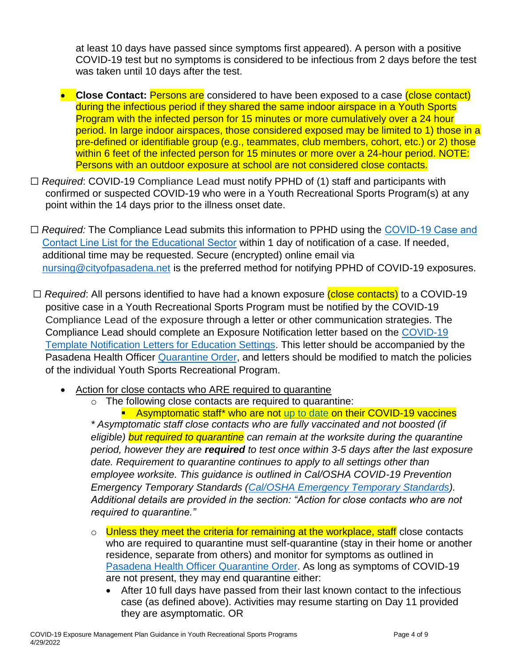at least 10 days have passed since symptoms first appeared). A person with a positive COVID-19 test but no symptoms is considered to be infectious from 2 days before the test was taken until 10 days after the test.

- **Close Contact:** Persons are considered to have been exposed to a case (close contact) during the infectious period if they shared the same indoor airspace in a Youth Sports Program with the infected person for 15 minutes or more cumulatively over a 24 hour period. In large indoor airspaces, those considered exposed may be limited to 1) those in a pre-defined or identifiable group (e.g., teammates, club members, cohort, etc.) or 2) those within 6 feet of the infected person for 15 minutes or more over a 24-hour period. NOTE: Persons with an outdoor exposure at school are not considered close contacts.
- ☐ *Required*: COVID-19 Compliance Lead must notify PPHD of (1) staff and participants with confirmed or suspected COVID-19 who were in a Youth Recreational Sports Program(s) at any point within the 14 days prior to the illness onset date.
- □ *Required:* The Compliance Lead submits this information to PPHD using the COVID-19 Case and [Contact Line List for the Educational Sector](https://www.cityofpasadena.net/public-health/wp-content/uploads/sites/32/COVID-19-Line-List-Template-for-Education-Institutions.xlsx) within 1 day of notification of a case. If needed, additional time may be requested. Secure (encrypted) online email via [nursing@cityofpasadena.net](mailto:nursing@cityofpasadena.net) is the preferred method for notifying PPHD of COVID-19 exposures.
- □ *Required*: All persons identified to have had a known exposure (close contacts) to a COVID-19 positive case in a Youth Recreational Sports Program must be notified by the COVID-19 Compliance Lead of the exposure through a letter or other communication strategies. The Compliance Lead should complete an Exposure Notification letter based on the [COVID-19](https://www.cityofpasadena.net/public-health/wp-content/uploads/sites/32/Sample-Notification-Letters-School.docx)  [Template Notification Letters for Education Settings.](https://www.cityofpasadena.net/public-health/wp-content/uploads/sites/32/Sample-Notification-Letters-School.docx) This letter should be accompanied by the Pasadena Health Officer [Quarantine Order,](https://www.cityofpasadena.net/public-health/wp-content/uploads/sites/32/Pasadena-Health-Officer-Blanket-Quarantine-Order.pdf?v=1642548259013) and letters should be modified to match the policies of the individual Youth Sports Recreational Program.
	- Action for close contacts who ARE required to quarantine
		- o The following close contacts are required to quarantine:

**Asymptomatic staff\* who are not [up to date](https://www.cdc.gov/coronavirus/2019-ncov/vaccines/stay-up-to-date.html?CDC_AA_refVal=https://www.cdc.gov/coronavirus/2019-ncov/vaccines/fully-vaccinated-guidance.html) on their COVID-19 vaccines** *\* Asymptomatic staff close contacts who are fully vaccinated and not boosted (if eligible) but required to quarantine can remain at the worksite during the quarantine period, however they are required to test once within 3-5 days after the last exposure date. Requirement to quarantine continues to apply to all settings other than employee worksite. This guidance is outlined in Cal/OSHA COVID-19 Prevention Emergency Temporary Standards [\(Cal/OSHA Emergency Temporary Standards\)](https://www.dir.ca.gov/dosh/dosh_publications/COVIDOnePageFS.pdf). Additional details are provided in the section: "Action for close contacts who are not required to quarantine."*

- o Unless they meet the criteria for remaining at the workplace, staff close contacts who are required to quarantine must self-quarantine (stay in their home or another residence, separate from others) and monitor for symptoms as outlined in [Pasadena Health Officer Quarantine](https://www.cityofpasadena.net/public-health/wp-content/uploads/sites/32/Pasadena-Health-Officer-Blanket-Quarantine-Order.pdf?v=1641408331552) Order. As long as symptoms of COVID-19 are not present, they may end quarantine either:
	- After 10 full days have passed from their last known contact to the infectious case (as defined above). Activities may resume starting on Day 11 provided they are asymptomatic. OR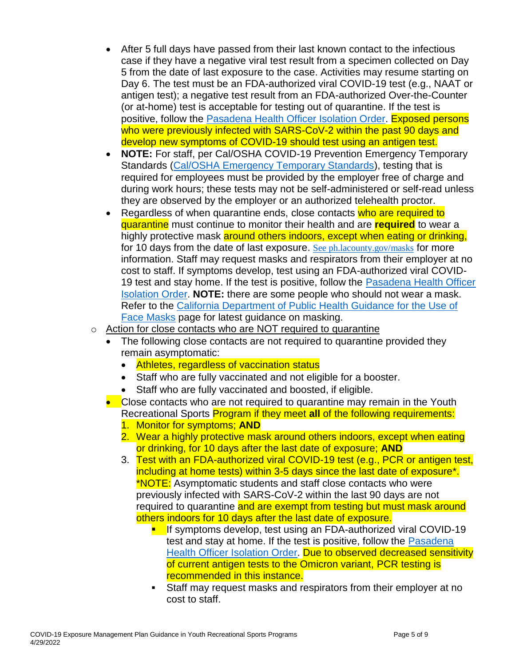- After 5 full days have passed from their last known contact to the infectious case if they have a negative viral test result from a specimen collected on Day 5 from the date of last exposure to the case. Activities may resume starting on Day 6. The test must be an FDA-authorized viral COVID-19 test (e.g., NAAT or antigen test); a negative test result from an FDA-authorized Over-the-Counter (or at-home) test is acceptable for testing out of quarantine. If the test is positive, follow the [Pasadena Health Officer Isolation Order.](https://www.cityofpasadena.net/public-health/wp-content/uploads/sites/32/Pasadena-Health-Officer-Blanket-Isolation-Order.pdf) Exposed persons who were previously infected with SARS-CoV-2 within the past 90 days and develop new symptoms of COVID-19 should test using an antigen test.
- **NOTE:** For staff, per Cal/OSHA COVID-19 Prevention Emergency Temporary Standards [\(Cal/OSHA Emergency Temporary Standards\)](https://www.dir.ca.gov/dosh/dosh_publications/COVIDOnePageFS.pdf), testing that is required for employees must be provided by the employer free of charge and during work hours; these tests may not be self-administered or self-read unless they are observed by the employer or an authorized telehealth proctor.
- Regardless of when quarantine ends, close contacts who are required to quarantine must continue to monitor their health and are **required** to wear a highly protective mask around others indoors, except when eating or drinking, for 10 days from the date of last exposure. [See ph.lacounty.gov/masks](http://publichealth.lacounty.gov/acd/ncorona2019/masks/) for more information. Staff may request masks and respirators from their employer at no cost to staff. If symptoms develop, test using an FDA-authorized viral COVID-19 test and stay home. If the test is positive, follow the [Pasadena Health Officer](https://www.cityofpasadena.net/public-health/health-order/covid-19/#:~:text=Pasadena%20Health%20Officer%20Isolation%20Order)  [Isolation Order.](https://www.cityofpasadena.net/public-health/health-order/covid-19/#:~:text=Pasadena%20Health%20Officer%20Isolation%20Order) **NOTE:** there are some people who should not wear a mask. Refer to the [California Department of Public Health Guidance for the Use of](https://www.cdph.ca.gov/Programs/CID/DCDC/Pages/COVID-19/guidance-for-face-coverings.aspx)  [Face Masks](https://www.cdph.ca.gov/Programs/CID/DCDC/Pages/COVID-19/guidance-for-face-coverings.aspx) page for latest guidance on masking.
- o Action for close contacts who are NOT required to quarantine
	- The following close contacts are not required to quarantine provided they remain asymptomatic:
		- Athletes, regardless of vaccination status
		- Staff who are fully vaccinated and not eligible for a booster.
		- Staff who are fully vaccinated and boosted, if eligible.
	- Close contacts who are not required to quarantine may remain in the Youth Recreational Sports Program if they meet **all** of the following requirements:
		- 1. Monitor for symptoms; **AND**
		- 2. Wear a highly protective mask around others indoors, except when eating or drinking, for 10 days after the last date of exposure; **AND**
		- 3. Test with an FDA-authorized viral COVID-19 test (e.g., PCR or antigen test, including at home tests) within 3-5 days since the last date of exposure\*. \*NOTE: Asymptomatic students and staff close contacts who were previously infected with SARS-CoV-2 within the last 90 days are not required to quarantine and are exempt from testing but must mask around others indoors for 10 days after the last date of exposure.
			- **If symptoms develop, test using an FDA-authorized viral COVID-19** test and stay at home. If the test is positive, follow the [Pasadena](https://www.cityofpasadena.net/public-health/wp-content/uploads/sites/32/Pasadena-Health-Officer-Blanket-Isolation-Order.pdf)  [Health Officer Isolation Order.](https://www.cityofpasadena.net/public-health/wp-content/uploads/sites/32/Pasadena-Health-Officer-Blanket-Isolation-Order.pdf) Due to observed decreased sensitivity of current antigen tests to the Omicron variant, PCR testing is recommended in this instance.
			- Staff may request masks and respirators from their employer at no cost to staff.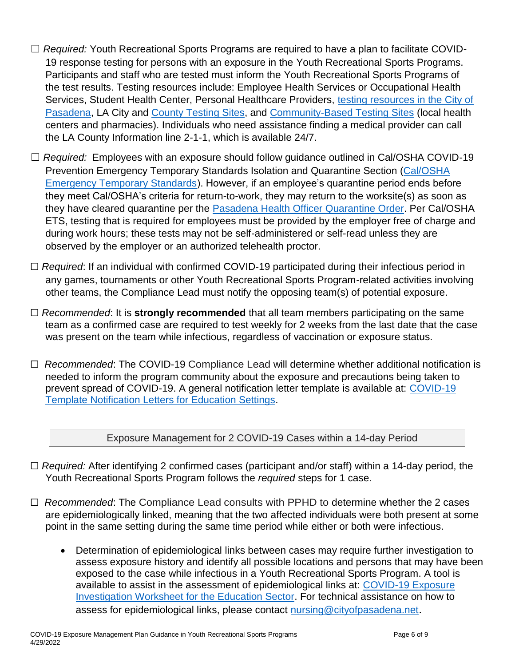- ☐ *Required:* Youth Recreational Sports Programs are required to have a plan to facilitate COVID-19 response testing for persons with an exposure in the Youth Recreational Sports Programs. Participants and staff who are tested must inform the Youth Recreational Sports Programs of the test results. Testing resources include: Employee Health Services or Occupational Health Services, Student Health Center, Personal Healthcare Providers, [testing resources in the City of](https://www.cityofpasadena.net/public-health/covid-19-testing-info/)  [Pasadena,](https://www.cityofpasadena.net/public-health/covid-19-testing-info/) LA City and [County Testing Sites,](https://covid19.lacounty.gov/testing/) and [Community-Based Testing Sites](https://www.hhs.gov/coronavirus/community-based-testing-sites/index.html) (local health centers and pharmacies). Individuals who need assistance finding a medical provider can call the LA County Information line 2-1-1, which is available 24/7.
- ☐ *Required:* Employees with an exposure should follow guidance outlined in Cal/OSHA COVID-19 Prevention Emergency Temporary Standards Isolation and Quarantine Section [\(Cal/OSHA](https://www.dir.ca.gov/dosh/dosh_publications/COVIDOnePageFS.pdf)  [Emergency Temporary Standards\)](https://www.dir.ca.gov/dosh/dosh_publications/COVIDOnePageFS.pdf). However, if an employee's quarantine period ends before they meet Cal/OSHA's criteria for return-to-work, they may return to the worksite(s) as soon as they have cleared quarantine per the [Pasadena Health Officer Quarantine Order.](https://www.cityofpasadena.net/public-health/wp-content/uploads/sites/32/Pasadena-Health-Officer-Blanket-Quarantine-Order.pdf?v=1642548259013) Per Cal/OSHA ETS, testing that is required for employees must be provided by the employer free of charge and during work hours; these tests may not be self-administered or self-read unless they are observed by the employer or an authorized telehealth proctor.
- ☐ *Required*: If an individual with confirmed COVID-19 participated during their infectious period in any games, tournaments or other Youth Recreational Sports Program-related activities involving other teams, the Compliance Lead must notify the opposing team(s) of potential exposure.
- ☐ *Recommended*: It is **strongly recommended** that all team members participating on the same team as a confirmed case are required to test weekly for 2 weeks from the last date that the case was present on the team while infectious, regardless of vaccination or exposure status.
- ☐ *Recommended*: The COVID-19 Compliance Lead will determine whether additional notification is needed to inform the program community about the exposure and precautions being taken to prevent spread of COVID-19. A general notification letter template is available at: COVID-19 [Template Notification Letters for Education Settings.](https://www.cityofpasadena.net/public-health/wp-content/uploads/sites/32/Sample-Notification-Letters-School.docx)

Exposure Management for 2 COVID-19 Cases within a 14-day Period

- ☐ *Required:* After identifying 2 confirmed cases (participant and/or staff) within a 14-day period, the Youth Recreational Sports Program follows the *required* steps for 1 case.
- ☐ *Recommended*: The Compliance Lead consults with PPHD to determine whether the 2 cases are epidemiologically linked, meaning that the two affected individuals were both present at some point in the same setting during the same time period while either or both were infectious.
	- Determination of epidemiological links between cases may require further investigation to assess exposure history and identify all possible locations and persons that may have been exposed to the case while infectious in a Youth Recreational Sports Program. A tool is available to assist in the assessment of epidemiological links at: [COVID-19 Exposure](https://www.cityofpasadena.net/public-health/wp-content/uploads/sites/32/Exposure-Investigation-Worksheet-Education.pdf)  [Investigation Worksheet for the Education Sector.](https://www.cityofpasadena.net/public-health/wp-content/uploads/sites/32/Exposure-Investigation-Worksheet-Education.pdf) For technical assistance on how to assess for epidemiological links, please contact [nursing@cityofpasadena.net](mailto:nursing@cityofpasadena.net).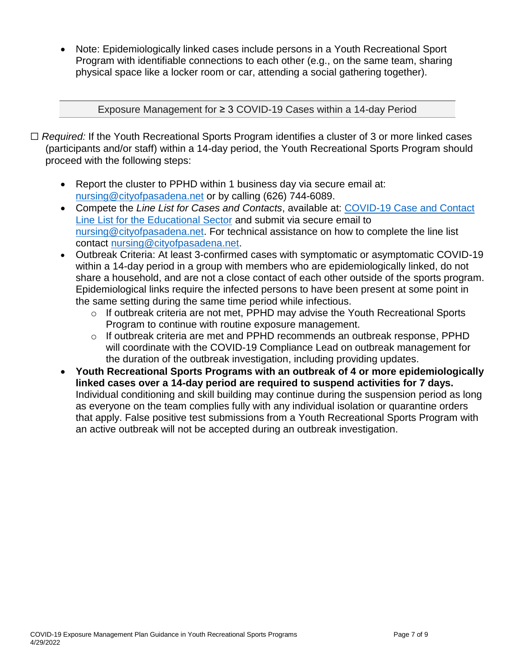Note: Epidemiologically linked cases include persons in a Youth Recreational Sport Program with identifiable connections to each other (e.g., on the same team, sharing physical space like a locker room or car, attending a social gathering together).

Exposure Management for ≥ 3 COVID-19 Cases within a 14-day Period

- ☐ *Required:* If the Youth Recreational Sports Program identifies a cluster of 3 or more linked cases (participants and/or staff) within a 14-day period, the Youth Recreational Sports Program should proceed with the following steps:
	- Report the cluster to PPHD within 1 business day via secure email at: [nursing@cityofpasadena.net](mailto:nursing@cityofpasadena.net) or by calling (626) 744-6089.
	- Compete the *Line List for Cases and Contacts*, available at: [COVID-19 Case and Contact](https://www.cityofpasadena.net/public-health/wp-content/uploads/sites/32/COVID-19-Line-List-Template-for-Education-Institutions.xlsx)  [Line List for the Educational Sector](https://www.cityofpasadena.net/public-health/wp-content/uploads/sites/32/COVID-19-Line-List-Template-for-Education-Institutions.xlsx) and submit via secure email to [nursing@cityofpasadena.net.](mailto:nursing@cityofpasadena.net) For technical assistance on how to complete the line list contact [nursing@cityofpasadena.net.](mailto:nursing@cityofpasadena.net)
	- Outbreak Criteria: At least 3-confirmed cases with symptomatic or asymptomatic COVID-19 within a 14-day period in a group with members who are epidemiologically linked, do not share a household, and are not a close contact of each other outside of the sports program. Epidemiological links require the infected persons to have been present at some point in the same setting during the same time period while infectious.
		- o If outbreak criteria are not met, PPHD may advise the Youth Recreational Sports Program to continue with routine exposure management.
		- o If outbreak criteria are met and PPHD recommends an outbreak response, PPHD will coordinate with the COVID-19 Compliance Lead on outbreak management for the duration of the outbreak investigation, including providing updates.
	- **Youth Recreational Sports Programs with an outbreak of 4 or more epidemiologically linked cases over a 14-day period are required to suspend activities for 7 days.** Individual conditioning and skill building may continue during the suspension period as long as everyone on the team complies fully with any individual isolation or quarantine orders that apply. False positive test submissions from a Youth Recreational Sports Program with an active outbreak will not be accepted during an outbreak investigation.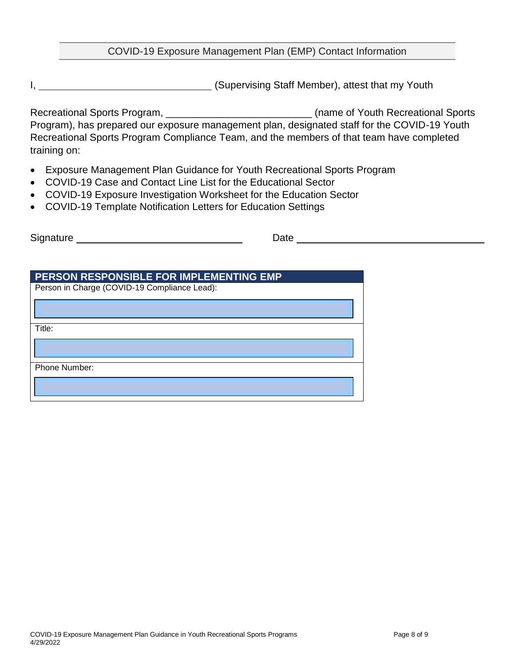#### COVID-19 Exposure Management Plan (EMP) Contact Information

I, **I** is a state of the state of the state of the state of the state of the state of the state of the state of the state of the state of the state of the state of the state of the state of the state of the state of the st

Recreational Sports Program, \_\_\_\_\_\_\_\_\_\_\_\_\_\_\_\_\_\_\_\_\_\_\_\_\_\_\_\_\_\_\_\_\_(name of Youth Recreational Sports Program), has prepared our exposure management plan, designated staff for the COVID-19 Youth Recreational Sports Program Compliance Team, and the members of that team have completed training on:

- Exposure Management Plan Guidance for Youth Recreational Sports Program
- COVID-19 Case and Contact Line List for the Educational Sector
- COVID-19 Exposure Investigation Worksheet for the Education Sector
- COVID-19 Template Notification Letters for Education Settings

Signature <u>example and the set of the set of the Date</u> Date **Date** by Date and the Signature of the Signature of the Signature of the Signature of the Signature of the Signature of the Signature of the Signature of the Sig

| <b>PERSON RESPONSIBLE FOR IMPLEMENTING EMP</b> |  |
|------------------------------------------------|--|
| Person in Charge (COVID-19 Compliance Lead):   |  |
|                                                |  |
| Title:                                         |  |
|                                                |  |
| Phone Number:                                  |  |
|                                                |  |